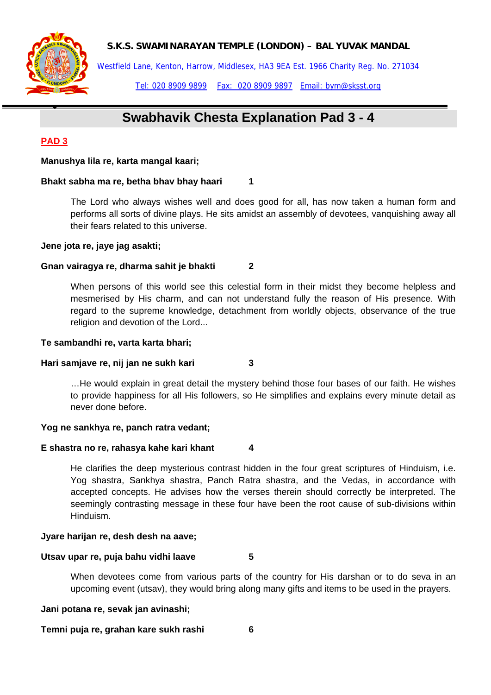

Westfield Lane, Kenton, Harrow, Middlesex, HA3 9EA Est. 1966 Charity Reg. No. 271034

Tel: 020 8909 9899 Fax: 020 8909 9897 Email: bym@sksst.org

# **Swabhavik Chesta Explanation Pad 3 - 4**

# **PAD 3**

•

# **Manushya lila re, karta mangal kaari;**

# **Bhakt sabha ma re, betha bhav bhay haari** 1

The Lord who always wishes well and does good for all, has now taken a human form and performs all sorts of divine plays. He sits amidst an assembly of devotees, vanquishing away all their fears related to this universe.

# **Jene jota re, jaye jag asakti;**

# **Gnan vairagya re, dharma sahit je bhakti 2**

When persons of this world see this celestial form in their midst they become helpless and mesmerised by His charm, and can not understand fully the reason of His presence. With regard to the supreme knowledge, detachment from worldly objects, observance of the true religion and devotion of the Lord...

#### **Te sambandhi re, varta karta bhari;**

# **Hari samjave re, nij jan ne sukh kari 3**

…He would explain in great detail the mystery behind those four bases of our faith. He wishes to provide happiness for all His followers, so He simplifies and explains every minute detail as never done before.

# **Yog ne sankhya re, panch ratra vedant;**

# **E shastra no re, rahasya kahe kari khant 4**

He clarifies the deep mysterious contrast hidden in the four great scriptures of Hinduism, i.e. Yog shastra, Sankhya shastra, Panch Ratra shastra, and the Vedas, in accordance with accepted concepts. He advises how the verses therein should correctly be interpreted. The seemingly contrasting message in these four have been the root cause of sub-divisions within Hinduism.

# **Jyare harijan re, desh desh na aave;**

# **Utsav upar re, puja bahu vidhi laave 5**

When devotees come from various parts of the country for His darshan or to do seva in an upcoming event (utsav), they would bring along many gifts and items to be used in the prayers.

#### **Jani potana re, sevak jan avinashi;**

**Temni puja re, grahan kare sukh rashi 6**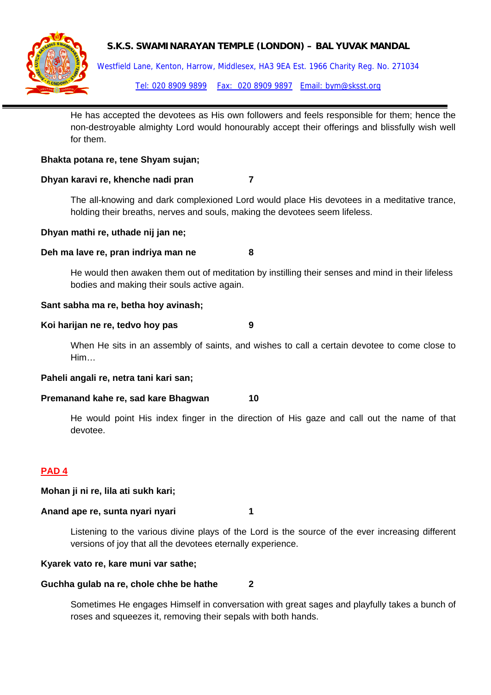Westfield Lane, Kenton, Harrow, Middlesex, HA3 9EA Est. 1966 Charity Reg. No. 271034 Tel: 020 8909 9899 Fax: 020 8909 9897 Email: bym@sksst.org

He has accepted the devotees as His own followers and feels responsible for them; hence the non-destroyable almighty Lord would honourably accept their offerings and blissfully wish well for them.

#### **Bhakta potana re, tene Shyam sujan;**

#### **Dhyan karavi re, khenche nadi pran 7**

The all-knowing and dark complexioned Lord would place His devotees in a meditative trance, holding their breaths, nerves and souls, making the devotees seem lifeless.

#### **Dhyan mathi re, uthade nij jan ne;**

#### **Deh ma lave re, pran indriya man ne 8**

He would then awaken them out of meditation by instilling their senses and mind in their lifeless bodies and making their souls active again.

#### **Sant sabha ma re, betha hoy avinash;**

#### Koi harijan ne re, tedvo hoy pas **9**

When He sits in an assembly of saints, and wishes to call a certain devotee to come close to Him…

#### **Paheli angali re, netra tani kari san;**

#### **Premanand kahe re, sad kare Bhagwan 10**

He would point His index finger in the direction of His gaze and call out the name of that devotee.

# **PAD 4**

#### **Mohan ji ni re, lila ati sukh kari;**

#### Anand ape re, sunta nyari nyari **1**

Listening to the various divine plays of the Lord is the source of the ever increasing different versions of joy that all the devotees eternally experience.

#### **Kyarek vato re, kare muni var sathe;**

#### **Guchha gulab na re, chole chhe be hathe 2**

Sometimes He engages Himself in conversation with great sages and playfully takes a bunch of roses and squeezes it, removing their sepals with both hands.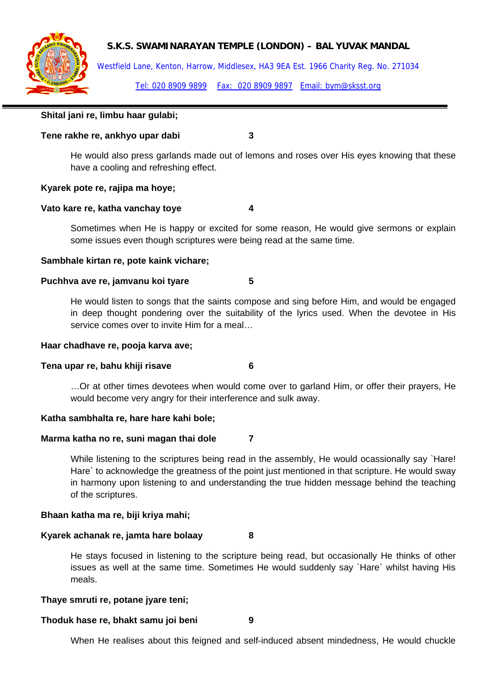

Westfield Lane, Kenton, Harrow, Middlesex, HA3 9EA Est. 1966 Charity Reg. No. 271034

Tel: 020 8909 9899 Fax: 020 8909 9897 Email: bym@sksst.org

### **Shital jani re, limbu haar gulabi;**

#### **Tene rakhe re, ankhyo upar dabi 3**

He would also press garlands made out of lemons and roses over His eyes knowing that these have a cooling and refreshing effect.

#### **Kyarek pote re, rajipa ma hoye;**

#### **Vato kare re, katha vanchay toye 4**

Sometimes when He is happy or excited for some reason, He would give sermons or explain some issues even though scriptures were being read at the same time.

# **Sambhale kirtan re, pote kaink vichare;**

#### **Puchhva ave re, jamvanu koi tyare 5**

He would listen to songs that the saints compose and sing before Him, and would be engaged in deep thought pondering over the suitability of the lyrics used. When the devotee in His service comes over to invite Him for a meal…

#### **Haar chadhave re, pooja karva ave;**

#### **Tena upar re, bahu khiji risave 6**

…Or at other times devotees when would come over to garland Him, or offer their prayers, He would become very angry for their interference and sulk away.

#### **Katha sambhalta re, hare hare kahi bole;**

#### **Marma katha no re, suni magan thai dole 7**

While listening to the scriptures being read in the assembly, He would ocassionally say `Hare! Hare` to acknowledge the greatness of the point just mentioned in that scripture. He would sway in harmony upon listening to and understanding the true hidden message behind the teaching of the scriptures.

#### **Bhaan katha ma re, biji kriya mahi;**

#### **Kyarek achanak re, jamta hare bolaay 8**

He stays focused in listening to the scripture being read, but occasionally He thinks of other issues as well at the same time. Sometimes He would suddenly say `Hare` whilst having His meals.

#### **Thaye smruti re, potane jyare teni;**

#### **Thoduk hase re, bhakt samu joi beni 9**

When He realises about this feigned and self-induced absent mindedness, He would chuckle